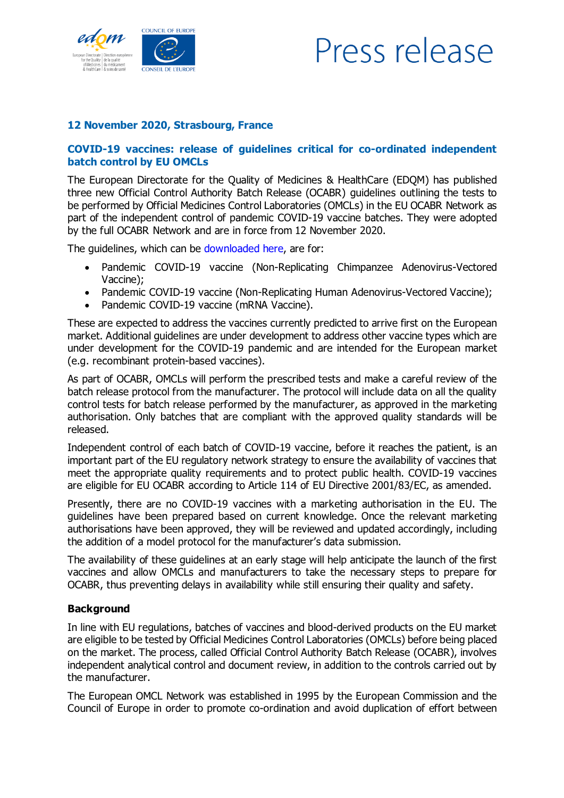

## Press release

## 12 November 2020, Strasbourg, France

## COVID-19 vaccines: release of guidelines critical for co-ordinated independent batch control by EU OMCLs

The European Directorate for the Quality of Medicines & HealthCare (EDQM) has published three new Official Control Authority Batch Release (OCABR) guidelines outlining the tests to be performed by Official Medicines Control Laboratories (OMCLs) in the EU OCABR Network as part of the independent control of pandemic COVID-19 vaccine batches. They were adopted by the full OCABR Network and are in force from 12 November 2020.

The guidelines, which can be [downloaded](https://www.edqm.eu/en/ocabr-activities-related-covid-19-vaccines#guidelines) here, are for:

- Pandemic COVID-19 vaccine (Non-Replicating Chimpanzee Adenovirus-Vectored Vaccine);
- Pandemic COVID-19 vaccine (Non-Replicating Human Adenovirus-Vectored Vaccine);
- Pandemic COVID-19 vaccine (mRNA Vaccine).

These are expected to address the vaccines currently predicted to arrive first on the European market. Additional guidelines are under development to address other vaccine types which are under development for the COVID-19 pandemic and are intended for the European market (e.g. recombinant protein-based vaccines).

As part of OCABR, OMCLs will perform the prescribed tests and make a careful review of the batch release protocol from the manufacturer. The protocol will include data on all the quality control tests for batch release performed by the manufacturer, as approved in the marketing authorisation. Only batches that are compliant with the approved quality standards will be released.

Independent control of each batch of COVID-19 vaccine, before it reaches the patient, is an important part of the EU regulatory network strategy to ensure the availability of vaccines that meet the appropriate quality requirements and to protect public health. COVID-19 vaccines are eligible for EU OCABR according to Article 114 of EU Directive 2001/83/EC, as amended.

Presently, there are no COVID-19 vaccines with a marketing authorisation in the EU. The guidelines have been prepared based on current knowledge. Once the relevant marketing authorisations have been approved, they will be reviewed and updated accordingly, including the addition of a model protocol for the manufacturer's data submission.

The availability of these guidelines at an early stage will help anticipate the launch of the first vaccines and allow OMCLs and manufacturers to take the necessary steps to prepare for OCABR, thus preventing delays in availability while still ensuring their quality and safety.

## **Background**

In line with EU regulations, batches of vaccines and blood-derived products on the EU market are eligible to be tested by Official Medicines Control Laboratories (OMCLs) before being placed on the market. The process, called Official Control Authority Batch Release (OCABR), involves independent analytical control and document review, in addition to the controls carried out by the manufacturer.

The European OMCL Network was established in 1995 by the European Commission and the Council of Europe in order to promote co-ordination and avoid duplication of effort between